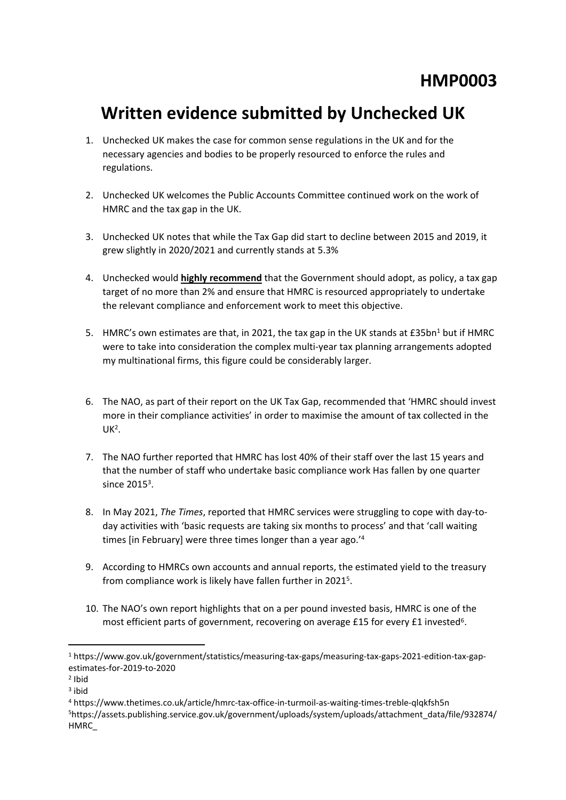## **Written evidence submitted by Unchecked UK**

- 1. Unchecked UK makes the case for common sense regulations in the UK and for the necessary agencies and bodies to be properly resourced to enforce the rules and regulations.
- 2. Unchecked UK welcomes the Public Accounts Committee continued work on the work of HMRC and the tax gap in the UK.
- 3. Unchecked UK notes that while the Tax Gap did start to decline between 2015 and 2019, it grew slightly in 2020/2021 and currently stands at 5.3%
- 4. Unchecked would **highly recommend** that the Government should adopt, as policy, a tax gap target of no more than 2% and ensure that HMRC is resourced appropriately to undertake the relevant compliance and enforcement work to meet this objective.
- 5. HMRC's own estimates are that, in 2021, the tax gap in the UK stands at  $E35bn<sup>1</sup>$  but if HMRC were to take into consideration the complex multi-year tax planning arrangements adopted my multinational firms, this figure could be considerably larger.
- 6. The NAO, as part of their report on the UK Tax Gap, recommended that 'HMRC should invest more in their compliance activities' in order to maximise the amount of tax collected in the  $UK<sup>2</sup>$ .
- 7. The NAO further reported that HMRC has lost 40% of their staff over the last 15 years and that the number of staff who undertake basic compliance work Has fallen by one quarter since  $2015<sup>3</sup>$ .
- 8. In May 2021, *The Times*, reported that HMRC services were struggling to cope with day-today activities with 'basic requests are taking six months to process' and that 'call waiting times [in February] were three times longer than a year ago.'<sup>4</sup>
- 9. According to HMRCs own accounts and annual reports, the estimated yield to the treasury from compliance work is likely have fallen further in 2021<sup>5</sup>.
- 10. The NAO's own report highlights that on a per pound invested basis, HMRC is one of the most efficient parts of government, recovering on average £15 for every £1 invested<sup>6</sup>.

<sup>1</sup> https://www.gov.uk/government/statistics/measuring-tax-gaps/measuring-tax-gaps-2021-edition-tax-gapestimates-for-2019-to-2020

<sup>2</sup> Ibid

<sup>3</sup> ibid

<sup>4</sup> https://www.thetimes.co.uk/article/hmrc-tax-office-in-turmoil-as-waiting-times-treble-qlqkfsh5n

<sup>5</sup>https://assets.publishing.service.gov.uk/government/uploads/system/uploads/attachment\_data/file/932874/ HMRC\_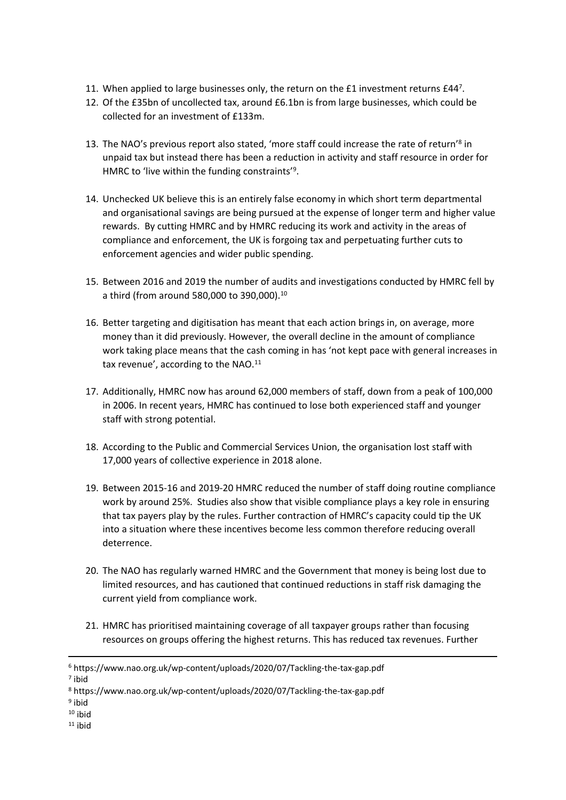- 11. When applied to large businesses only, the return on the £1 investment returns £447.
- 12. Of the £35bn of uncollected tax, around £6.1bn is from large businesses, which could be collected for an investment of £133m.
- 13. The NAO's previous report also stated, 'more staff could increase the rate of return'<sup>8</sup> in unpaid tax but instead there has been a reduction in activity and staff resource in order for HMRC to 'live within the funding constraints'<sup>9</sup>.
- 14. Unchecked UK believe this is an entirely false economy in which short term departmental and organisational savings are being pursued at the expense of longer term and higher value rewards. By cutting HMRC and by HMRC reducing its work and activity in the areas of compliance and enforcement, the UK is forgoing tax and perpetuating further cuts to enforcement agencies and wider public spending.
- 15. Between 2016 and 2019 the number of audits and investigations conducted by HMRC fell by a third (from around 580,000 to 390,000).<sup>10</sup>
- 16. Better targeting and digitisation has meant that each action brings in, on average, more money than it did previously. However, the overall decline in the amount of compliance work taking place means that the cash coming in has 'not kept pace with general increases in tax revenue', according to the NAO.<sup>11</sup>
- 17. Additionally, HMRC now has around 62,000 members of staff, down from a peak of 100,000 in 2006. In recent years, HMRC has continued to lose both experienced staff and younger staff with strong potential.
- 18. According to the Public and Commercial Services Union, the organisation lost staff with 17,000 years of collective experience in 2018 alone.
- 19. Between 2015-16 and 2019-20 HMRC reduced the number of staff doing routine compliance work by around 25%. Studies also show that visible compliance plays a key role in ensuring that tax payers play by the rules. Further contraction of HMRC's capacity could tip the UK into a situation where these incentives become less common therefore reducing overall deterrence.
- 20. The NAO has regularly warned HMRC and the Government that money is being lost due to limited resources, and has cautioned that continued reductions in staff risk damaging the current yield from compliance work.
- 21. HMRC has prioritised maintaining coverage of all taxpayer groups rather than focusing resources on groups offering the highest returns. This has reduced tax revenues. Further

7 ibid

 $11$  ibid

<sup>6</sup> https://www.nao.org.uk/wp-content/uploads/2020/07/Tackling-the-tax-gap.pdf

<sup>8</sup> https://www.nao.org.uk/wp-content/uploads/2020/07/Tackling-the-tax-gap.pdf

<sup>&</sup>lt;sup>9</sup> ibid

 $10$  ibid